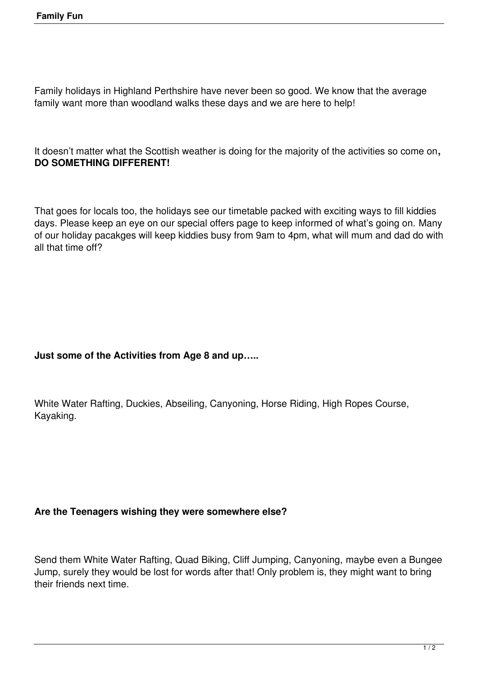Family holidays in Highland Perthshire have never been so good. We know that the average family want more than woodland walks these days and we are here to help!

It doesn't matter what the Scottish weather is doing for the majority of the activities so come on**, DO SOMETHING DIFFERENT!**

That goes for locals too, the holidays see our timetable packed with exciting ways to fill kiddies days. Please keep an eye on our special offers page to keep informed of what's going on. Many of our holiday pacakges will keep kiddies busy from 9am to 4pm, what will mum and dad do with all that time off?

## **Just some of the Activities from Age 8 and up…..**

White Water Rafting, Duckies, Abseiling, Canyoning, Horse Riding, High Ropes Course, Kayaking.

## **Are the Teenagers wishing they were somewhere else?**

Send them White Water Rafting, Quad Biking, Cliff Jumping, Canyoning, maybe even a Bungee Jump, surely they would be lost for words after that! Only problem is, they might want to bring their friends next time.